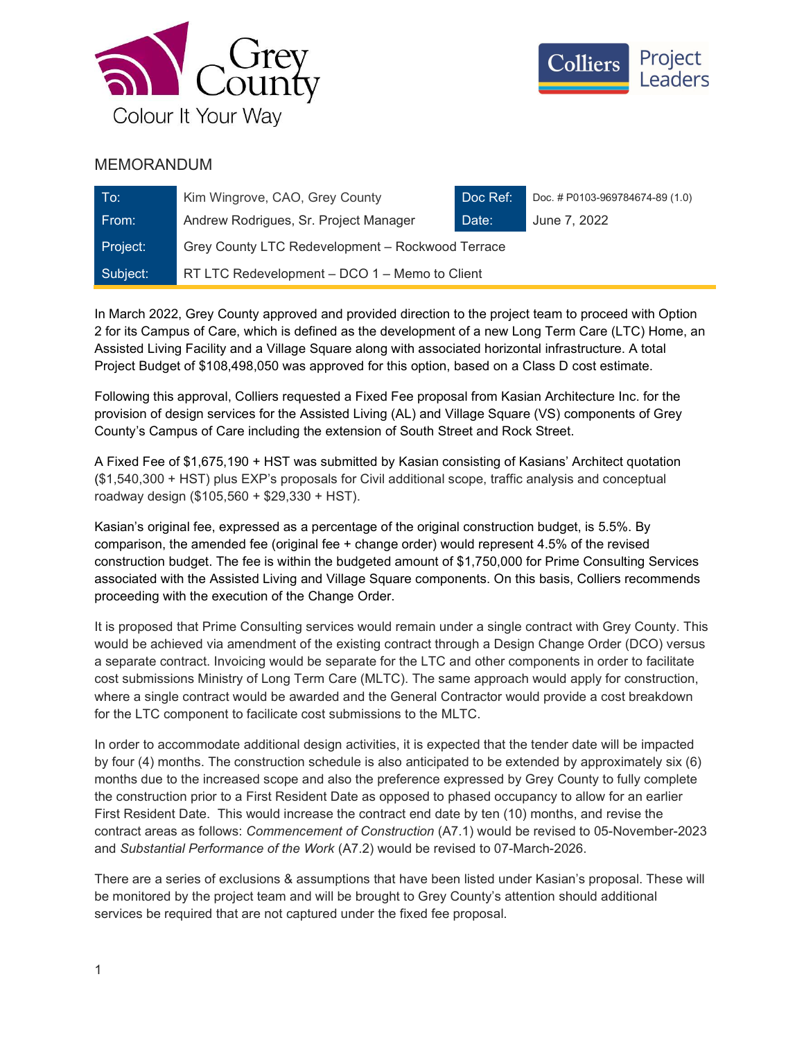



## MEMORANDUM

| To:      | Kim Wingrove, CAO, Grey County                   | Doc Ref: | Doc. # P0103-969784674-89 (1.0) |
|----------|--------------------------------------------------|----------|---------------------------------|
| From:    | Andrew Rodrigues, Sr. Project Manager            | Date:    | June 7, 2022                    |
| Project: | Grey County LTC Redevelopment - Rockwood Terrace |          |                                 |
| Subject: | RT LTC Redevelopment – DCO 1 – Memo to Client    |          |                                 |

In March 2022, Grey County approved and provided direction to the project team to proceed with Option 2 for its Campus of Care, which is defined as the development of a new Long Term Care (LTC) Home, an Assisted Living Facility and a Village Square along with associated horizontal infrastructure. A total Project Budget of \$108,498,050 was approved for this option, based on a Class D cost estimate.

Following this approval, Colliers requested a Fixed Fee proposal from Kasian Architecture Inc. for the provision of design services for the Assisted Living (AL) and Village Square (VS) components of Grey County's Campus of Care including the extension of South Street and Rock Street.

A Fixed Fee of \$1,675,190 + HST was submitted by Kasian consisting of Kasians' Architect quotation (\$1,540,300 + HST) plus EXP's proposals for Civil additional scope, traffic analysis and conceptual roadway design (\$105,560 + \$29,330 + HST).

Kasian's original fee, expressed as a percentage of the original construction budget, is 5.5%. By comparison, the amended fee (original fee + change order) would represent 4.5% of the revised construction budget. The fee is within the budgeted amount of \$1,750,000 for Prime Consulting Services associated with the Assisted Living and Village Square components. On this basis, Colliers recommends proceeding with the execution of the Change Order.

It is proposed that Prime Consulting services would remain under a single contract with Grey County. This would be achieved via amendment of the existing contract through a Design Change Order (DCO) versus a separate contract. Invoicing would be separate for the LTC and other components in order to facilitate cost submissions Ministry of Long Term Care (MLTC). The same approach would apply for construction, where a single contract would be awarded and the General Contractor would provide a cost breakdown for the LTC component to facilicate cost submissions to the MLTC.

In order to accommodate additional design activities, it is expected that the tender date will be impacted by four (4) months. The construction schedule is also anticipated to be extended by approximately six (6) months due to the increased scope and also the preference expressed by Grey County to fully complete the construction prior to a First Resident Date as opposed to phased occupancy to allow for an earlier First Resident Date. This would increase the contract end date by ten (10) months, and revise the contract areas as follows: Commencement of Construction (A7.1) would be revised to 05-November-2023 and Substantial Performance of the Work (A7.2) would be revised to 07-March-2026.

There are a series of exclusions & assumptions that have been listed under Kasian's proposal. These will be monitored by the project team and will be brought to Grey County's attention should additional services be required that are not captured under the fixed fee proposal.